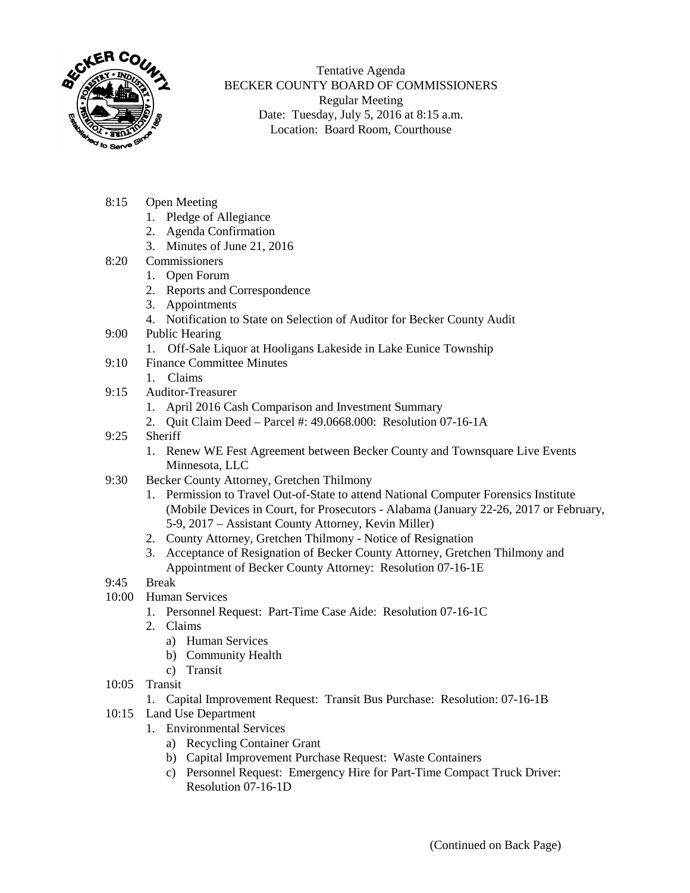

Tentative Agenda BECKER COUNTY BOARD OF COMMISSIONERS Regular Meeting Date: Tuesday, July 5, 2016 at 8:15 a.m. Location: Board Room, Courthouse

- 8:15 Open Meeting
	- 1. Pledge of Allegiance
	- 2. Agenda Confirmation
	- 3. Minutes of June 21, 2016
- 8:20 Commissioners
	- 1. Open Forum
	- 2. Reports and Correspondence
	- 3. Appointments
	- 4. Notification to State on Selection of Auditor for Becker County Audit
- 9:00 Public Hearing
	- 1. Off-Sale Liquor at Hooligans Lakeside in Lake Eunice Township
- 9:10 Finance Committee Minutes
	- 1. Claims
- 9:15 Auditor-Treasurer
	- 1. April 2016 Cash Comparison and Investment Summary
	- 2. Quit Claim Deed Parcel #: 49.0668.000: Resolution 07-16-1A
- 9:25 Sheriff
	- 1. Renew WE Fest Agreement between Becker County and Townsquare Live Events Minnesota, LLC
- 9:30 Becker County Attorney, Gretchen Thilmony
	- 1. Permission to Travel Out-of-State to attend National Computer Forensics Institute (Mobile Devices in Court, for Prosecutors - Alabama (January 22-26, 2017 or February, 5-9, 2017 – Assistant County Attorney, Kevin Miller)
		- 2. County Attorney, Gretchen Thilmony Notice of Resignation
		- 3. Acceptance of Resignation of Becker County Attorney, Gretchen Thilmony and Appointment of Becker County Attorney: Resolution 07-16-1E
- 9:45 Break
- 10:00 Human Services
	- 1. Personnel Request: Part-Time Case Aide: Resolution 07-16-1C
	- 2. Claims
		- a) Human Services
		- b) Community Health
		- c) Transit
- 10:05 Transit
	- 1. Capital Improvement Request: Transit Bus Purchase: Resolution: 07-16-1B
- 10:15 Land Use Department
	- 1. Environmental Services
		- a) Recycling Container Grant
		- b) Capital Improvement Purchase Request: Waste Containers
		- c) Personnel Request: Emergency Hire for Part-Time Compact Truck Driver: Resolution 07-16-1D